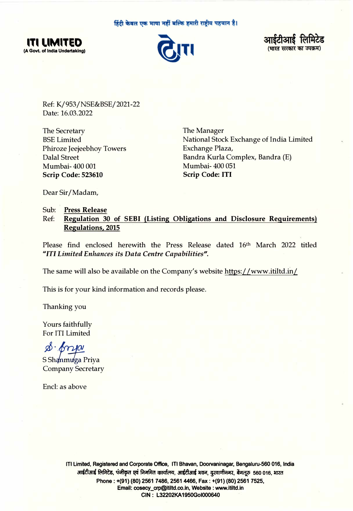हिंदी केवल एक भाषा नहीं बल्कि हमारी राष्ट्रीय पहचान है।







Ref: K/953/NSE&BSE/2021-22 Date: 16.03.2022

The Secretary BSE Limited Phiroze Jeejeebhoy Towers Dalal Street Mumbai- 400 001 **Scrip Code: 523610** 

The Manager National Stock Exchange of India Limited Exchange Plaza, Bandra Kurla Complex, Bandra (E) Mumbai- 400 051 **Scrip Code: ITI** 

Dear Sir/ Madam,

Sub: **Press Release** Ref: **Regulation 30 of SEBI (Listing Obligations and Disclosure Requirements) Regulations, 2015** 

Please find enclosed herewith the Press Release dated 16th March 2022 titled *"ITI Limited Enhances its Data Centre Capabilities".* 

The same will also be available on the Company's website https://www.itiltd.in/

This is for your kind information and records please.

Thanking you

Yours faithfully For ITI Limited

 $a \cdot \frac{1}{2}$ 

S Shanmuga Priya Company Secretary

Encl: as above

**ITI Limited, Registered and Corporate Office, ITI Bhavan, Doorvaninagar, Bengaluru-560 016, India**  आईटीआई लिमिटेड, पंजीकृत एवं निगमित कार्यालय, आईटीआई भवन, दुरवाणीनगर, बेंगलूरु 560 016, भारत **Phone : +(91) (80) 2561 7486, 2561 4466, Fax: +(91) (80) 2561 7525, Email: cosecy\_crp@ltiltd.co.ln, Website : www.ltlltd.ln CIN: L32202KA1950Gol000640**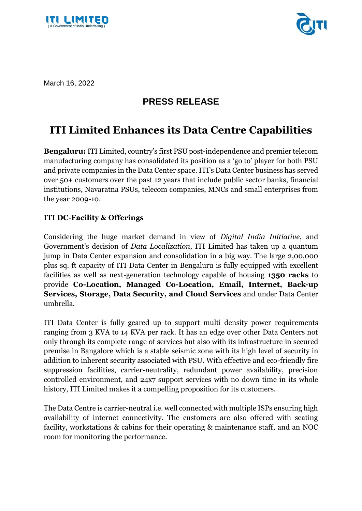



March 16, 2022

## **PRESS RELEASE**

## **ITI Limited Enhances its Data Centre Capabilities**

**Bengaluru:** ITI Limited, country's first PSU post-independence and premier telecom manufacturing company has consolidated its position as a 'go to' player for both PSU and private companies in the Data Center space. ITI's Data Center business has served over 50+ customers over the past 12 years that include public sector banks, financial institutions, Navaratna PSUs, telecom companies, MNCs and small enterprises from the year 2009-10.

## **ITI DC-Facility & Offerings**

Considering the huge market demand in view of *Digital India Initiative*, and Government's decision of *Data Localization*, ITI Limited has taken up a quantum jump in Data Center expansion and consolidation in a big way. The large 2,00,000 plus sq. ft capacity of ITI Data Center in Bengaluru is fully equipped with excellent facilities as well as next-generation technology capable of housing **1350 racks** to provide **Co-Location, Managed Co-Location, Email, Internet, Back-up Services, Storage, Data Security, and Cloud Services** and under Data Center umbrella.

ITI Data Center is fully geared up to support multi density power requirements ranging from 3 KVA to 14 KVA per rack. It has an edge over other Data Centers not only through its complete range of services but also with its infrastructure in secured premise in Bangalore which is a stable seismic zone with its high level of security in addition to inherent security associated with PSU. With effective and eco-friendly fire suppression facilities, carrier-neutrality, redundant power availability, precision controlled environment, and 24x7 support services with no down time in its whole history, ITI Limited makes it a compelling proposition for its customers.

The Data Centre is carrier-neutral i.e. well connected with multiple ISPs ensuring high availability of internet connectivity. The customers are also offered with seating facility, workstations & cabins for their operating & maintenance staff, and an NOC room for monitoring the performance.